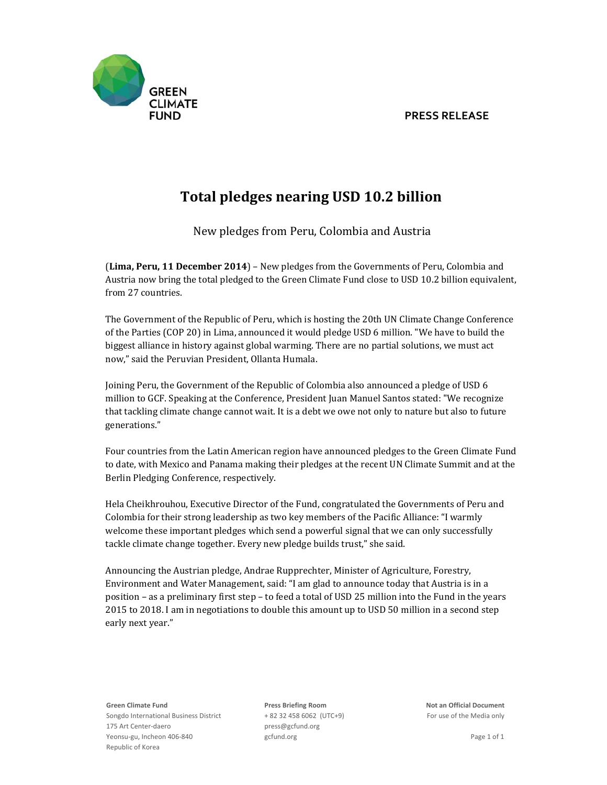## **PRESS RELEASE**



## **Total pledges nearing USD 10.2 billion**

New pledges from Peru, Colombia and Austria

(**Lima, Peru, 11 December 2014**) – New pledges from the Governments of Peru, Colombia and Austria now bring the total pledged to the Green Climate Fund close to USD 10.2 billion equivalent, from 27 countries.

The Government of the Republic of Peru, which is hosting the 20th UN Climate Change Conference of the Parties (COP 20) in Lima, announced it would pledge USD 6 million. "We have to build the biggest alliance in history against global warming. There are no partial solutions, we must act now," said the Peruvian President, Ollanta Humala.

Joining Peru, the Government of the Republic of Colombia also announced a pledge of USD 6 million to GCF. Speaking at the Conference, President Juan Manuel Santos stated: "We recognize that tackling climate change cannot wait. It is a debt we owe not only to nature but also to future generations." 

Four countries from the Latin American region have announced pledges to the Green Climate Fund to date, with Mexico and Panama making their pledges at the recent UN Climate Summit and at the Berlin Pledging Conference, respectively.

Hela Cheikhrouhou, Executive Director of the Fund, congratulated the Governments of Peru and Colombia for their strong leadership as two key members of the Pacific Alliance: "I warmly welcome these important pledges which send a powerful signal that we can only successfully tackle climate change together. Every new pledge builds trust," she said.

Announcing the Austrian pledge, Andrae Rupprechter, Minister of Agriculture, Forestry, Environment and Water Management, said: "I am glad to announce today that Austria is in a position – as a preliminary first step – to feed a total of USD 25 million into the Fund in the years 2015 to 2018. I am in negotiations to double this amount up to USD 50 million in a second step early next year."

**Green Climate Fund** Songdo International Business District 175 Art Center‐daero Yeonsu‐gu, Incheon 406‐840 Republic of Korea

+ 82 32 458 6062 (UTC+9) For use of the Media only press@gcfund.org gcfund.org **b** a general state of  $\alpha$  and  $\beta$  and  $\beta$  and  $\beta$  and  $\beta$  and  $\beta$  and  $\beta$  and  $\beta$  and  $\beta$  and  $\beta$  and  $\beta$  and  $\beta$  and  $\beta$  and  $\beta$  and  $\beta$  and  $\beta$  and  $\beta$  and  $\beta$  and  $\beta$  and  $\beta$  and  $\beta$  and

**Press Briefing Room Not an Official Document**